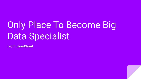# Only Place To Become Big Data Specialist

From E**kasCloud**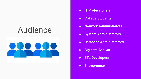## Audience



- **● IT Professionals**
- **● College Students**
- **● Network Administrators**
- **● System Administrators**
- **● Database Administrators**
- **● Big data Analyst**
- **● ETL Developers**
- **● Entrepreneur**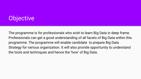#### **Objective**

The programme is for professionals who wish to learn Big Data in deep frame. Professionals can get a good understanding of all facets of Big Data within this programme. The programme will enable candidate to prepare Big Data Strategy for various organization. It will also provide opportunity to understand the tools and techniques and hence the 'how' of Big Data.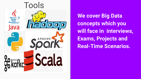

**We cover Big Data concepts which you will face in interviews, Exams, Projects and Real-Time Scenarios.**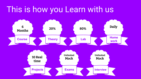### This is how you Learn with us

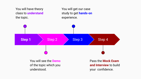You will have theory class to **understand**  the topic.

You will get our case study to get **hands-on**  experience.